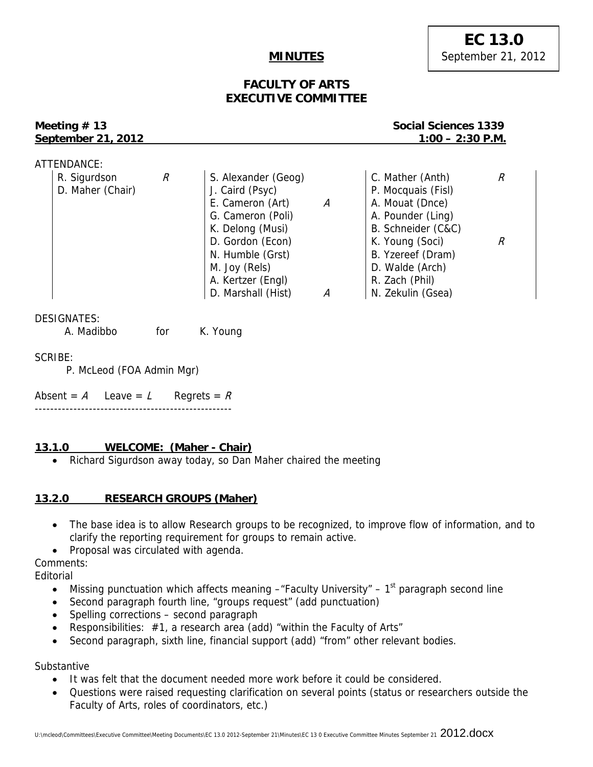## **MINUTES**

## **FACULTY OF ARTS EXECUTIVE COMMITTEE**

# **September 21, 2012** 1:00 – 2:30 P.M.

## **Meeting # 13**  $\blacksquare$  **Meeting # 13** Social Sciences 1339

| ATTENDANCE:      |   |                     |   |                    |   |
|------------------|---|---------------------|---|--------------------|---|
| R. Sigurdson     | R | S. Alexander (Geog) |   | C. Mather (Anth)   | R |
| D. Maher (Chair) |   | J. Caird (Psyc)     |   | P. Mocquais (Fisl) |   |
|                  |   | E. Cameron (Art)    | А | A. Mouat (Dnce)    |   |
|                  |   | G. Cameron (Poli)   |   | A. Pounder (Ling)  |   |
|                  |   | K. Delong (Musi)    |   | B. Schneider (C&C) |   |
|                  |   | D. Gordon (Econ)    |   | K. Young (Soci)    |   |
|                  |   | N. Humble (Grst)    |   | B. Yzereef (Dram)  |   |
|                  |   | M. Joy (Rels)       |   | D. Walde (Arch)    |   |
|                  |   | A. Kertzer (Engl)   |   | R. Zach (Phil)     |   |
|                  |   | D. Marshall (Hist)  | А | N. Zekulin (Gsea)  |   |

DESIGNATES:

| A. Madibbo | for | K. Young |
|------------|-----|----------|
|------------|-----|----------|

SCRIBE:

P. McLeod (FOA Admin Mgr)

Absent =  $A$  Leave =  $L$  Regrets =  $R$ ---------------------------------------------------

## **13.1.0 WELCOME: (Maher - Chair)**

Richard Sigurdson away today, so Dan Maher chaired the meeting

## **13.2.0 RESEARCH GROUPS (Maher)**

- The base idea is to allow Research groups to be recognized, to improve flow of information, and to clarify the reporting requirement for groups to remain active.
- Proposal was circulated with agenda.

Comments:

Editorial

- Missing punctuation which affects meaning  $-$ "Faculty University" 1<sup>st</sup> paragraph second line
- Second paragraph fourth line, "groups request" (add punctuation)
- Spelling corrections second paragraph
- Responsibilities: #1, a research area (add) "within the Faculty of Arts"
- Second paragraph, sixth line, financial support (add) "from" other relevant bodies.

Substantive

- It was felt that the document needed more work before it could be considered.
- Questions were raised requesting clarification on several points (status or researchers outside the Faculty of Arts, roles of coordinators, etc.)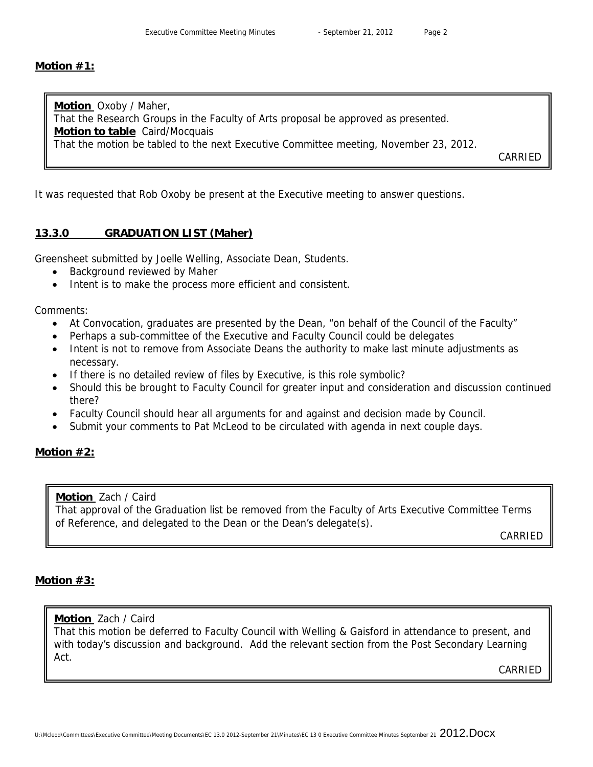#### **Motion #1:**

**Motion** Oxoby / Maher, That the Research Groups in the Faculty of Arts proposal be approved as presented. **Motion to table** Caird/Mocquais That the motion be tabled to the next Executive Committee meeting, November 23, 2012.

CARRIED

It was requested that Rob Oxoby be present at the Executive meeting to answer questions.

## **13.3.0 GRADUATION LIST (Maher)**

Greensheet submitted by Joelle Welling, Associate Dean, Students.

- Background reviewed by Maher
- Intent is to make the process more efficient and consistent.

Comments:

- At Convocation, graduates are presented by the Dean, "on behalf of the Council of the Faculty"
- Perhaps a sub-committee of the Executive and Faculty Council could be delegates
- Intent is not to remove from Associate Deans the authority to make last minute adjustments as necessary.
- If there is no detailed review of files by Executive, is this role symbolic?
- Should this be brought to Faculty Council for greater input and consideration and discussion continued there?
- Faculty Council should hear all arguments for and against and decision made by Council.
- Submit your comments to Pat McLeod to be circulated with agenda in next couple days.

## **Motion #2:**

**Motion** Zach / Caird

That approval of the Graduation list be removed from the Faculty of Arts Executive Committee Terms of Reference, and delegated to the Dean or the Dean's delegate(s).

CARRIED

## **Motion #3:**

## **Motion** Zach / Caird

That this motion be deferred to Faculty Council with Welling & Gaisford in attendance to present, and with today's discussion and background. Add the relevant section from the Post Secondary Learning Act.

CARRIED